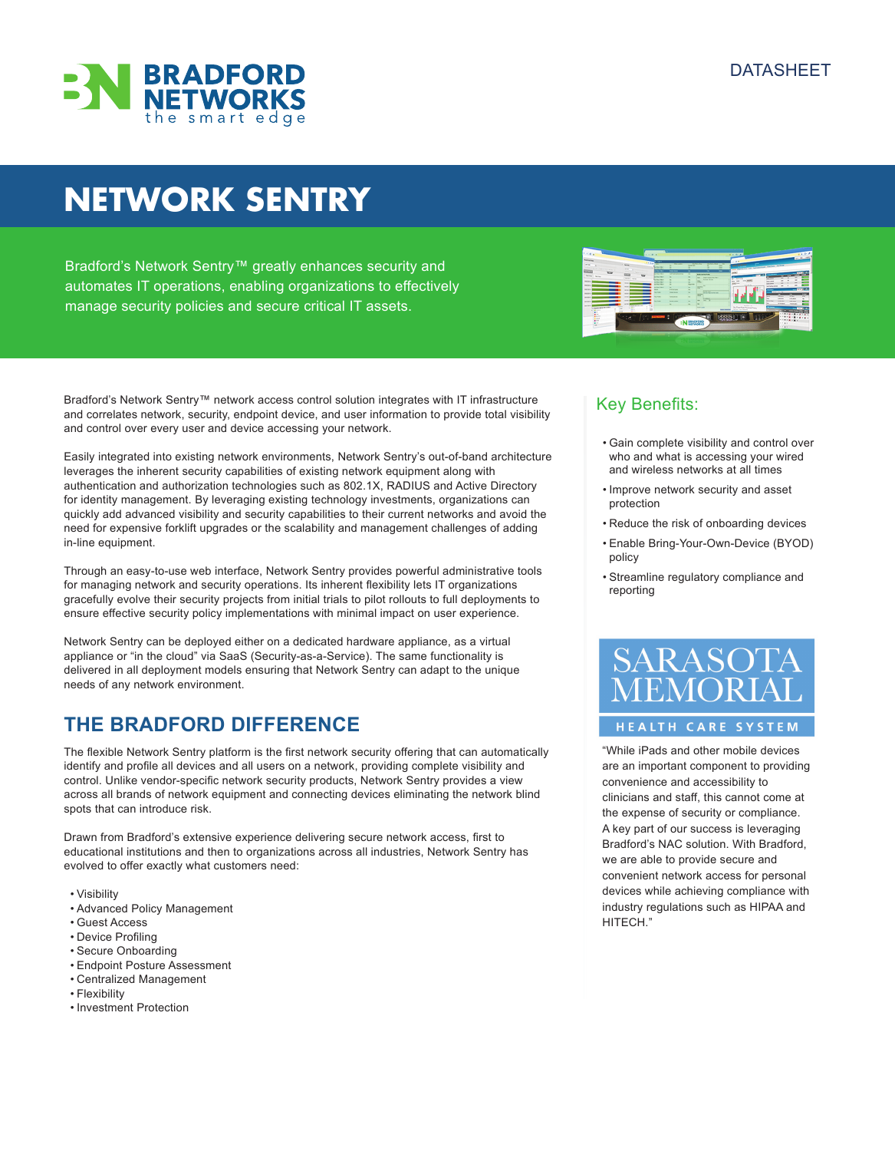

# **NETWORK SENTRY**

Bradford's Network Sentry™ greatly enhances security and automates IT operations, enabling organizations to effectively manage security policies and secure critical IT assets.

Bradford's Network Sentry™ network access control solution integrates with IT infrastructure and correlates network, security, endpoint device, and user information to provide total visibility and control over every user and device accessing your network.

Easily integrated into existing network environments, Network Sentry's out-of-band architecture leverages the inherent security capabilities of existing network equipment along with authentication and authorization technologies such as 802.1X, RADIUS and Active Directory for identity management. By leveraging existing technology investments, organizations can quickly add advanced visibility and security capabilities to their current networks and avoid the need for expensive forklift upgrades or the scalability and management challenges of adding in-line equipment.

Through an easy-to-use web interface, Network Sentry provides powerful administrative tools for managing network and security operations. Its inherent flexibility lets IT organizations gracefully evolve their security projects from initial trials to pilot rollouts to full deployments to ensure effective security policy implementations with minimal impact on user experience.

Network Sentry can be deployed either on a dedicated hardware appliance, as a virtual appliance or "in the cloud" via SaaS (Security-as-a-Service). The same functionality is delivered in all deployment models ensuring that Network Sentry can adapt to the unique needs of any network environment.

# **THE BRADFORD DIFFERENCE**

The flexible Network Sentry platform is the first network security offering that can automatically identify and profile all devices and all users on a network, providing complete visibility and control. Unlike vendor-specific network security products, Network Sentry provides a view across all brands of network equipment and connecting devices eliminating the network blind spots that can introduce risk.

Drawn from Bradford's extensive experience delivering secure network access, first to educational institutions and then to organizations across all industries, Network Sentry has evolved to offer exactly what customers need:

- Visibility
- Advanced Policy Management
- Guest Access
- Device Profiling
- Secure Onboarding
- Endpoint Posture Assessment
- Centralized Management
- Flexibility
- Investment Protection



# Key Benefits:

- Gain complete visibility and control over who and what is accessing your wired and wireless networks at all times
- Improve network security and asset protection
- Reduce the risk of onboarding devices
- Enable Bring-Your-Own-Device (BYOD) policy
- Streamline regulatory compliance and reporting



### HEALTH CARE SYSTEM

"While iPads and other mobile devices are an important component to providing convenience and accessibility to clinicians and staff, this cannot come at the expense of security or compliance. A key part of our success is leveraging Bradford's NAC solution. With Bradford, we are able to provide secure and convenient network access for personal devices while achieving compliance with industry regulations such as HIPAA and HITECH."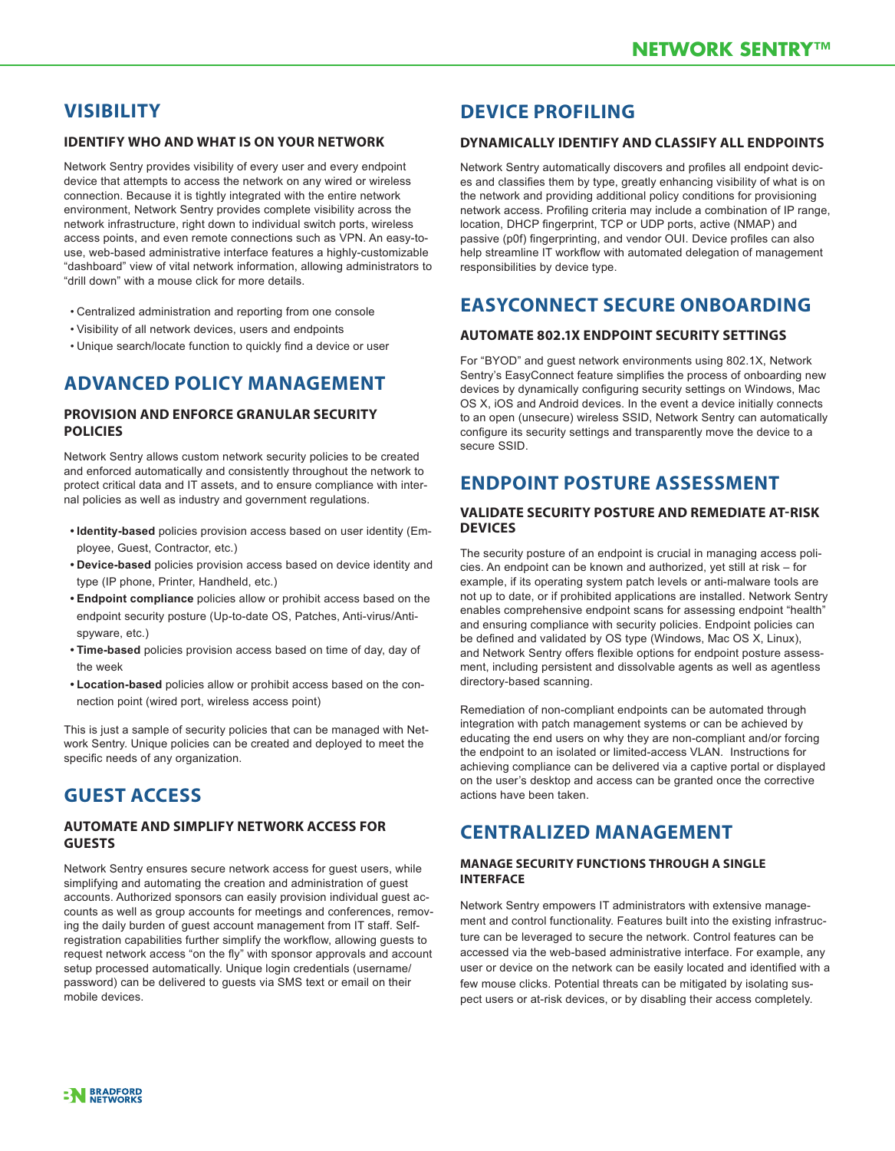### **VISIBILITY**

#### **Identify Who and What Is On Your Network**

Network Sentry provides visibility of every user and every endpoint device that attempts to access the network on any wired or wireless connection. Because it is tightly integrated with the entire network environment, Network Sentry provides complete visibility across the network infrastructure, right down to individual switch ports, wireless access points, and even remote connections such as VPN. An easy-touse, web-based administrative interface features a highly-customizable "dashboard" view of vital network information, allowing administrators to "drill down" with a mouse click for more details.

- Centralized administration and reporting from one console
- Visibility of all network devices, users and endpoints
- Unique search/locate function to quickly find a device or user

# **ADVANCED POLICY MANAGEMENT**

#### **Provision and Enforce Granular Security Policies**

Network Sentry allows custom network security policies to be created and enforced automatically and consistently throughout the network to protect critical data and IT assets, and to ensure compliance with internal policies as well as industry and government regulations.

- **• Identity-based** policies provision access based on user identity (Employee, Guest, Contractor, etc.)
- **• Device-based** policies provision access based on device identity and type (IP phone, Printer, Handheld, etc.)
- **• Endpoint compliance** policies allow or prohibit access based on the endpoint security posture (Up-to-date OS, Patches, Anti-virus/Antispyware, etc.)
- **• Time-based** policies provision access based on time of day, day of the week
- **• Location-based** policies allow or prohibit access based on the connection point (wired port, wireless access point)

This is just a sample of security policies that can be managed with Network Sentry. Unique policies can be created and deployed to meet the specific needs of any organization.

# **GUEST ACCESS**

#### **Automate and Simplify Network Access for Guests**

Network Sentry ensures secure network access for guest users, while simplifying and automating the creation and administration of guest accounts. Authorized sponsors can easily provision individual guest accounts as well as group accounts for meetings and conferences, removing the daily burden of guest account management from IT staff. Selfregistration capabilities further simplify the workflow, allowing guests to request network access "on the fly" with sponsor approvals and account setup processed automatically. Unique login credentials (username/ password) can be delivered to guests via SMS text or email on their mobile devices.

### **DEVICE PROFILING**

#### **Dynamically Identify and Classify All Endpoints**

Network Sentry automatically discovers and profiles all endpoint devices and classifies them by type, greatly enhancing visibility of what is on the network and providing additional policy conditions for provisioning network access. Profiling criteria may include a combination of IP range, location, DHCP fingerprint, TCP or UDP ports, active (NMAP) and passive (p0f) fingerprinting, and vendor OUI. Device profiles can also help streamline IT workflow with automated delegation of management responsibilities by device type.

### **EASYCONNECT SECURE ONBOARDING**

#### **Automate 802.1X Endpoint Security Settings**

For "BYOD" and guest network environments using 802.1X, Network Sentry's EasyConnect feature simplifies the process of onboarding new devices by dynamically configuring security settings on Windows, Mac OS X, iOS and Android devices. In the event a device initially connects to an open (unsecure) wireless SSID, Network Sentry can automatically configure its security settings and transparently move the device to a secure SSID.

### **ENDPOINT POSTURE ASSESSMENT**

#### **Validate Security Posture and Remediate At-Risk Devices**

The security posture of an endpoint is crucial in managing access policies. An endpoint can be known and authorized, yet still at risk – for example, if its operating system patch levels or anti-malware tools are not up to date, or if prohibited applications are installed. Network Sentry enables comprehensive endpoint scans for assessing endpoint "health" and ensuring compliance with security policies. Endpoint policies can be defined and validated by OS type (Windows, Mac OS X, Linux), and Network Sentry offers flexible options for endpoint posture assessment, including persistent and dissolvable agents as well as agentless directory-based scanning.

Remediation of non-compliant endpoints can be automated through integration with patch management systems or can be achieved by educating the end users on why they are non-compliant and/or forcing the endpoint to an isolated or limited-access VLAN. Instructions for achieving compliance can be delivered via a captive portal or displayed on the user's desktop and access can be granted once the corrective actions have been taken.

### **CENTRALIZED MANAGEMENT**

#### **Manage Security Functions through a Single Interface**

Network Sentry empowers IT administrators with extensive management and control functionality. Features built into the existing infrastructure can be leveraged to secure the network. Control features can be accessed via the web-based administrative interface. For example, any user or device on the network can be easily located and identified with a few mouse clicks. Potential threats can be mitigated by isolating suspect users or at-risk devices, or by disabling their access completely.

**: N** BRADFORD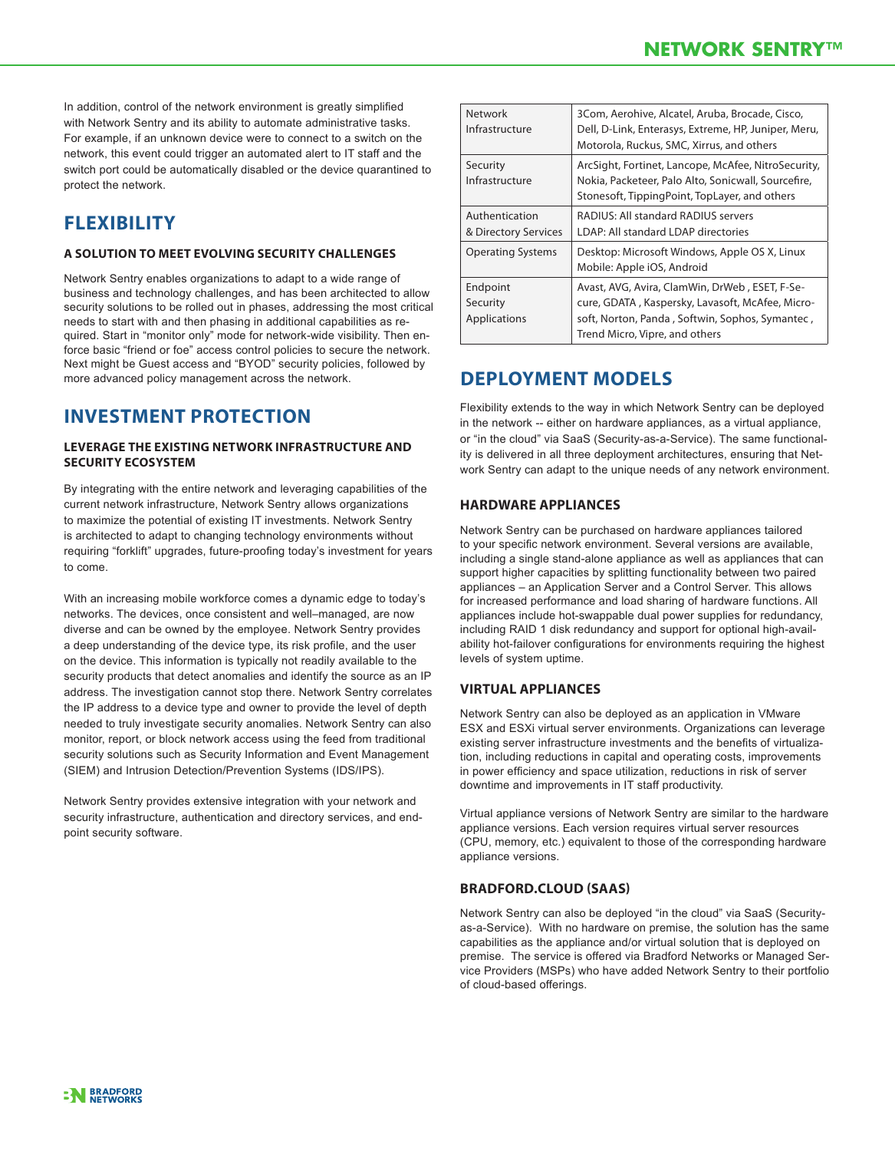In addition, control of the network environment is greatly simplified with Network Sentry and its ability to automate administrative tasks. For example, if an unknown device were to connect to a switch on the network, this event could trigger an automated alert to IT staff and the switch port could be automatically disabled or the device quarantined to protect the network.

# **FLEXIBILITY**

#### **A Solution to Meet Evolving Security Challenges**

Network Sentry enables organizations to adapt to a wide range of business and technology challenges, and has been architected to allow security solutions to be rolled out in phases, addressing the most critical needs to start with and then phasing in additional capabilities as required. Start in "monitor only" mode for network-wide visibility. Then enforce basic "friend or foe" access control policies to secure the network. Next might be Guest access and "BYOD" security policies, followed by more advanced policy management across the network.

### **INVESTMENT PROTECTION**

#### **Leverage the Existing Network Infrastructure and Security Ecosystem**

By integrating with the entire network and leveraging capabilities of the current network infrastructure, Network Sentry allows organizations to maximize the potential of existing IT investments. Network Sentry is architected to adapt to changing technology environments without requiring "forklift" upgrades, future-proofing today's investment for years to come.

With an increasing mobile workforce comes a dynamic edge to today's networks. The devices, once consistent and well–managed, are now diverse and can be owned by the employee. Network Sentry provides a deep understanding of the device type, its risk profile, and the user on the device. This information is typically not readily available to the security products that detect anomalies and identify the source as an IP address. The investigation cannot stop there. Network Sentry correlates the IP address to a device type and owner to provide the level of depth needed to truly investigate security anomalies. Network Sentry can also monitor, report, or block network access using the feed from traditional security solutions such as Security Information and Event Management (SIEM) and Intrusion Detection/Prevention Systems (IDS/IPS).

Network Sentry provides extensive integration with your network and security infrastructure, authentication and directory services, and endpoint security software.

| Network<br>Infrastructure              | 3Com, Aerohive, Alcatel, Aruba, Brocade, Cisco,<br>Dell, D-Link, Enterasys, Extreme, HP, Juniper, Meru,<br>Motorola, Ruckus, SMC, Xirrus, and others                                    |
|----------------------------------------|-----------------------------------------------------------------------------------------------------------------------------------------------------------------------------------------|
| Security<br>Infrastructure             | ArcSight, Fortinet, Lancope, McAfee, NitroSecurity,<br>Nokia, Packeteer, Palo Alto, Sonicwall, Sourcefire,<br>Stonesoft, TippingPoint, TopLayer, and others                             |
| Authentication<br>& Directory Services | <b>RADIUS: All standard RADIUS servers</b><br>LDAP: All standard LDAP directories                                                                                                       |
| <b>Operating Systems</b>               | Desktop: Microsoft Windows, Apple OS X, Linux<br>Mobile: Apple iOS, Android                                                                                                             |
| Endpoint<br>Security<br>Applications   | Avast, AVG, Avira, ClamWin, DrWeb, ESET, F-Se-<br>cure, GDATA, Kaspersky, Lavasoft, McAfee, Micro-<br>soft, Norton, Panda, Softwin, Sophos, Symantec,<br>Trend Micro, Vipre, and others |

# **DEPLOYMENT MODELS**

Flexibility extends to the way in which Network Sentry can be deployed in the network -- either on hardware appliances, as a virtual appliance, or "in the cloud" via SaaS (Security-as-a-Service). The same functionality is delivered in all three deployment architectures, ensuring that Network Sentry can adapt to the unique needs of any network environment.

### **Hardware Appliances**

Network Sentry can be purchased on hardware appliances tailored to your specific network environment. Several versions are available, including a single stand-alone appliance as well as appliances that can support higher capacities by splitting functionality between two paired appliances – an Application Server and a Control Server. This allows for increased performance and load sharing of hardware functions. All appliances include hot-swappable dual power supplies for redundancy, including RAID 1 disk redundancy and support for optional high-availability hot-failover configurations for environments requiring the highest levels of system uptime.

#### **Virtual Appliances**

Network Sentry can also be deployed as an application in VMware ESX and ESXi virtual server environments. Organizations can leverage existing server infrastructure investments and the benefits of virtualization, including reductions in capital and operating costs, improvements in power efficiency and space utilization, reductions in risk of server downtime and improvements in IT staff productivity.

Virtual appliance versions of Network Sentry are similar to the hardware appliance versions. Each version requires virtual server resources (CPU, memory, etc.) equivalent to those of the corresponding hardware appliance versions.

### **BRADFORD.cloud (SaaS)**

Network Sentry can also be deployed "in the cloud" via SaaS (Securityas-a-Service). With no hardware on premise, the solution has the same capabilities as the appliance and/or virtual solution that is deployed on premise. The service is offered via Bradford Networks or Managed Service Providers (MSPs) who have added Network Sentry to their portfolio of cloud-based offerings.